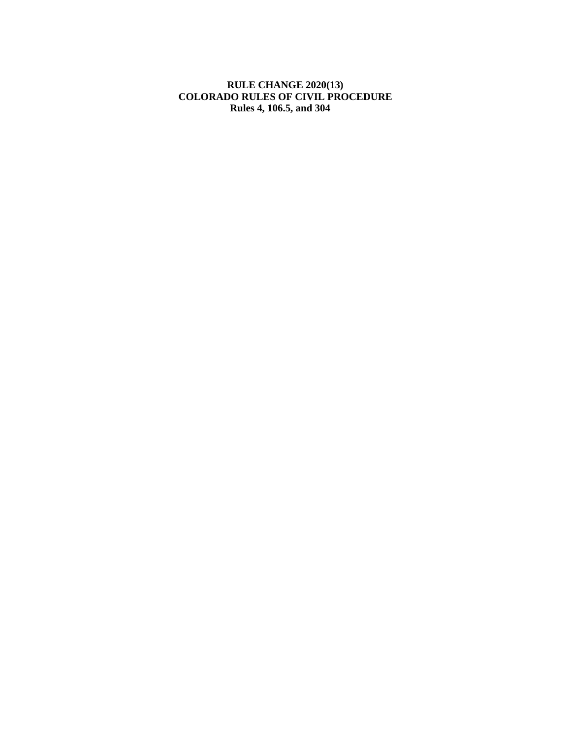#### **RULE CHANGE 2020(13) COLORADO RULES OF CIVIL PROCEDURE Rules 4, 106.5, and 304**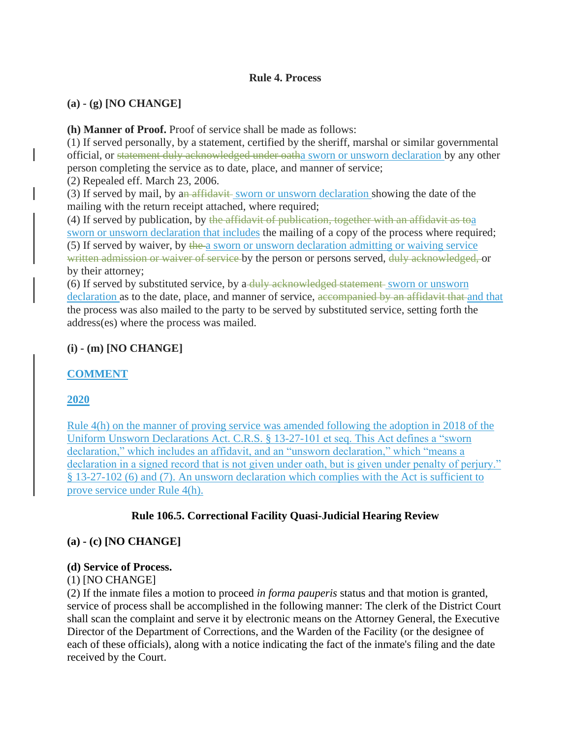# **Rule 4. Process**

# **(a) - (g) [NO CHANGE]**

**(h) Manner of Proof.** Proof of service shall be made as follows:

(1) If served personally, by a statement, certified by the sheriff, marshal or similar governmental official, or statement duly acknowledged under oatha sworn or unsworn declaration by any other person completing the service as to date, place, and manner of service; (2) Repealed eff. March 23, 2006.

(3) If served by mail, by an affidavit sworn or unsworn declaration showing the date of the mailing with the return receipt attached, where required;

(4) If served by publication, by the affidavit of publication, together with an affidavit as toa sworn or unsworn declaration that includes the mailing of a copy of the process where required; (5) If served by waiver, by the a sworn or unsworn declaration admitting or waiving service written admission or waiver of service by the person or persons served, duly acknowledged, or by their attorney;

(6) If served by substituted service, by a-duly acknowledged statement sworn or unsworn declaration as to the date, place, and manner of service, accompanied by an affidavit that and that the process was also mailed to the party to be served by substituted service, setting forth the address(es) where the process was mailed.

# **(i) - (m) [NO CHANGE]**

# **COMMENT**

# **2020**

Rule 4(h) on the manner of proving service was amended following the adoption in 2018 of the Uniform Unsworn Declarations Act. C.R.S. § 13-27-101 et seq. This Act defines a "sworn declaration," which includes an affidavit, and an "unsworn declaration," which "means a declaration in a signed record that is not given under oath, but is given under penalty of perjury." § 13-27-102 (6) and (7). An unsworn declaration which complies with the Act is sufficient to prove service under Rule 4(h).

# **Rule 106.5. Correctional Facility Quasi-Judicial Hearing Review**

# **(a) - (c) [NO CHANGE]**

# **(d) Service of Process.**

# (1) [NO CHANGE]

(2) If the inmate files a motion to proceed *in forma pauperis* status and that motion is granted, service of process shall be accomplished in the following manner: The clerk of the District Court shall scan the complaint and serve it by electronic means on the Attorney General, the Executive Director of the Department of Corrections, and the Warden of the Facility (or the designee of each of these officials), along with a notice indicating the fact of the inmate's filing and the date received by the Court.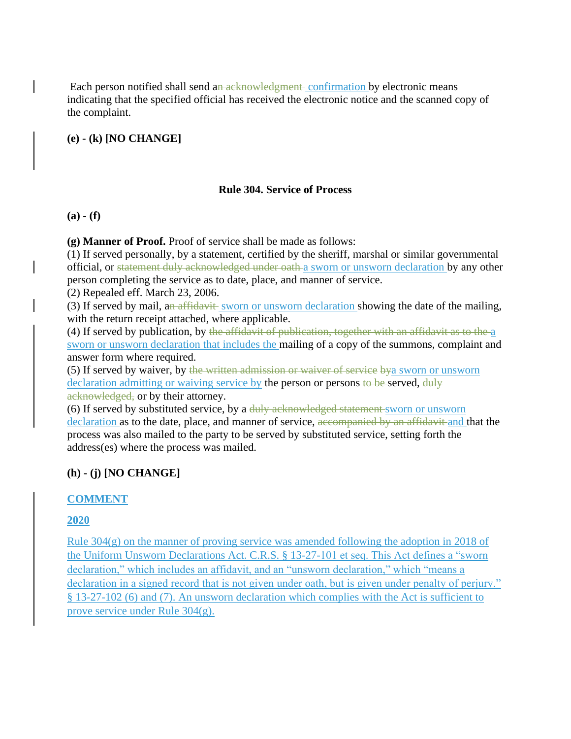Each person notified shall send an acknowledgment confirmation by electronic means indicating that the specified official has received the electronic notice and the scanned copy of the complaint.

**(e) - (k) [NO CHANGE]**

# **Rule 304. Service of Process**

**(a) - (f)** 

**(g) Manner of Proof.** Proof of service shall be made as follows:

(1) If served personally, by a statement, certified by the sheriff, marshal or similar governmental official, or statement duly acknowledged under oath a sworn or unsworn declaration by any other person completing the service as to date, place, and manner of service.

(2) Repealed eff. March 23, 2006.

(3) If served by mail, an affidavit sworn or unsworn declaration showing the date of the mailing, with the return receipt attached, where applicable.

(4) If served by publication, by the affidavit of publication, together with an affidavit as to the a sworn or unsworn declaration that includes the mailing of a copy of the summons, complaint and answer form where required.

(5) If served by waiver, by the written admission or waiver of service bya sworn or unsworn declaration admitting or waiving service by the person or persons to be served, duly acknowledged, or by their attorney.

(6) If served by substituted service, by a duly acknowledged statement sworn or unsworn declaration as to the date, place, and manner of service, accompanied by an affidavit and that the process was also mailed to the party to be served by substituted service, setting forth the address(es) where the process was mailed.

# **(h) - (j) [NO CHANGE]**

# **COMMENT**

# **2020**

Rule 304(g) on the manner of proving service was amended following the adoption in 2018 of the Uniform Unsworn Declarations Act. C.R.S. § 13-27-101 et seq. This Act defines a "sworn declaration," which includes an affidavit, and an "unsworn declaration," which "means a declaration in a signed record that is not given under oath, but is given under penalty of perjury." § 13-27-102 (6) and (7). An unsworn declaration which complies with the Act is sufficient to prove service under Rule 304(g).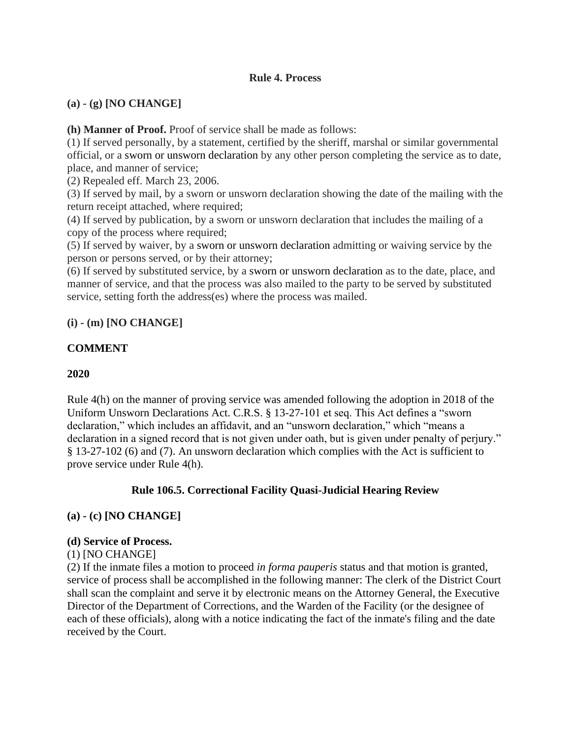# **Rule 4. Process**

# **(a) - (g) [NO CHANGE]**

**(h) Manner of Proof.** Proof of service shall be made as follows:

(1) If served personally, by a statement, certified by the sheriff, marshal or similar governmental official, or a sworn or unsworn declaration by any other person completing the service as to date, place, and manner of service;

(2) Repealed eff. March 23, 2006.

(3) If served by mail, by a sworn or unsworn declaration showing the date of the mailing with the return receipt attached, where required;

(4) If served by publication, by a sworn or unsworn declaration that includes the mailing of a copy of the process where required;

(5) If served by waiver, by a sworn or unsworn declaration admitting or waiving service by the person or persons served, or by their attorney;

(6) If served by substituted service, by a sworn or unsworn declaration as to the date, place, and manner of service, and that the process was also mailed to the party to be served by substituted service, setting forth the address(es) where the process was mailed.

# **(i) - (m) [NO CHANGE]**

# **COMMENT**

# **2020**

Rule 4(h) on the manner of proving service was amended following the adoption in 2018 of the Uniform Unsworn Declarations Act. C.R.S. § 13-27-101 et seq. This Act defines a "sworn declaration," which includes an affidavit, and an "unsworn declaration," which "means a declaration in a signed record that is not given under oath, but is given under penalty of perjury." § 13-27-102 (6) and (7). An unsworn declaration which complies with the Act is sufficient to prove service under Rule 4(h).

# **Rule 106.5. Correctional Facility Quasi-Judicial Hearing Review**

# **(a) - (c) [NO CHANGE]**

#### **(d) Service of Process.**

# (1) [NO CHANGE]

(2) If the inmate files a motion to proceed *in forma pauperis* status and that motion is granted, service of process shall be accomplished in the following manner: The clerk of the District Court shall scan the complaint and serve it by electronic means on the Attorney General, the Executive Director of the Department of Corrections, and the Warden of the Facility (or the designee of each of these officials), along with a notice indicating the fact of the inmate's filing and the date received by the Court.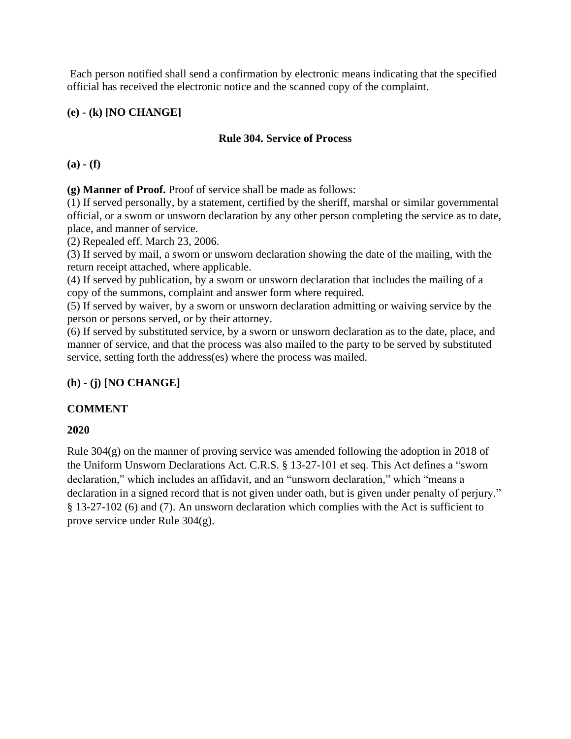Each person notified shall send a confirmation by electronic means indicating that the specified official has received the electronic notice and the scanned copy of the complaint.

# **(e) - (k) [NO CHANGE]**

#### **Rule 304. Service of Process**

**(a) - (f)** 

**(g) Manner of Proof.** Proof of service shall be made as follows:

(1) If served personally, by a statement, certified by the sheriff, marshal or similar governmental official, or a sworn or unsworn declaration by any other person completing the service as to date, place, and manner of service.

(2) Repealed eff. March 23, 2006.

(3) If served by mail, a sworn or unsworn declaration showing the date of the mailing, with the return receipt attached, where applicable.

(4) If served by publication, by a sworn or unsworn declaration that includes the mailing of a copy of the summons, complaint and answer form where required.

(5) If served by waiver, by a sworn or unsworn declaration admitting or waiving service by the person or persons served, or by their attorney.

(6) If served by substituted service, by a sworn or unsworn declaration as to the date, place, and manner of service, and that the process was also mailed to the party to be served by substituted service, setting forth the address(es) where the process was mailed.

# **(h) - (j) [NO CHANGE]**

# **COMMENT**

# **2020**

Rule 304(g) on the manner of proving service was amended following the adoption in 2018 of the Uniform Unsworn Declarations Act. C.R.S. § 13-27-101 et seq. This Act defines a "sworn declaration," which includes an affidavit, and an "unsworn declaration," which "means a declaration in a signed record that is not given under oath, but is given under penalty of perjury." § 13-27-102 (6) and (7). An unsworn declaration which complies with the Act is sufficient to prove service under Rule 304(g).